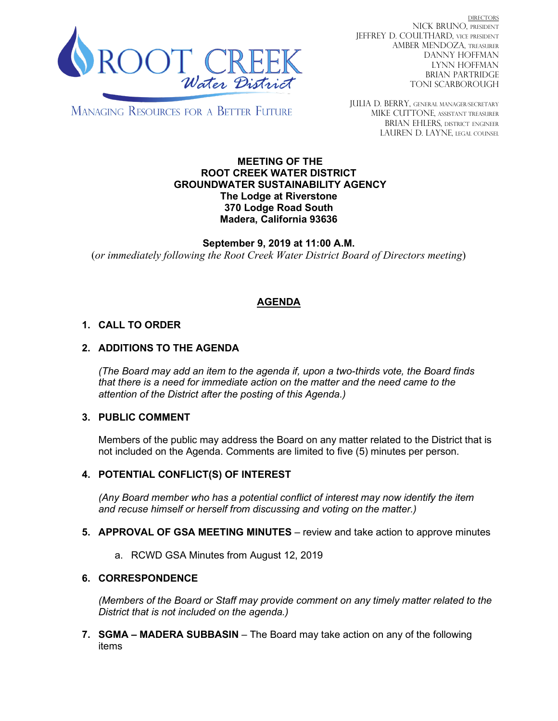

DIRECTORS NICK BRUNO, PRESIDENT JEFFREY D. COULTHARD, Vice President AMBER MENDOZA, TREASURER DANNY HOFFMAN LYNN HOFFMAN BRIAN PARTRIDGE TONI SCARBOROUGH

MANAGING RESOURCES FOR A BETTER FUTURE

JULIA D. BERRY, GENERAL MANAGER/secretary MIKE CUTTONE, Assistant treasurer BRIAN EHLERS, DISTRICT ENGINEER LAUREN D. LAYNE, LEGAL COUNSEL

#### **MEETING OF THE ROOT CREEK WATER DISTRICT GROUNDWATER SUSTAINABILITY AGENCY The Lodge at Riverstone 370 Lodge Road South Madera, California 93636**

**September 9, 2019 at 11:00 A.M.** (*or immediately following the Root Creek Water District Board of Directors meeting*)

# **AGENDA**

## **1. CALL TO ORDER**

## **2. ADDITIONS TO THE AGENDA**

*(The Board may add an item to the agenda if, upon a two-thirds vote, the Board finds that there is a need for immediate action on the matter and the need came to the attention of the District after the posting of this Agenda.)*

### **3. PUBLIC COMMENT**

Members of the public may address the Board on any matter related to the District that is not included on the Agenda. Comments are limited to five (5) minutes per person.

### **4. POTENTIAL CONFLICT(S) OF INTEREST**

*(Any Board member who has a potential conflict of interest may now identify the item and recuse himself or herself from discussing and voting on the matter.)*

- **5. APPROVAL OF GSA MEETING MINUTES** review and take action to approve minutes
	- a. RCWD GSA Minutes from August 12, 2019

#### **6. CORRESPONDENCE**

*(Members of the Board or Staff may provide comment on any timely matter related to the District that is not included on the agenda.)*

**7. SGMA – MADERA SUBBASIN** – The Board may take action on any of the following items